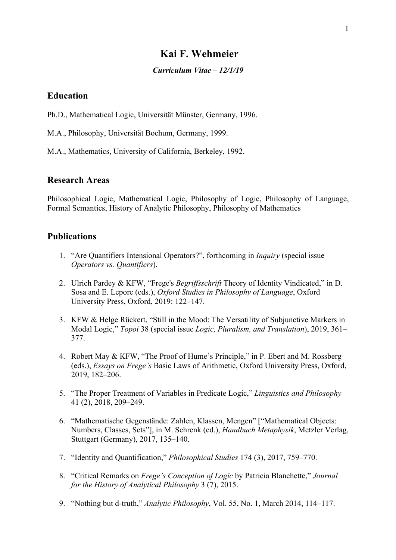# **Kai F. Wehmeier**

#### *Curriculum Vitae – 12/1/19*

## **Education**

Ph.D., Mathematical Logic, Universität Münster, Germany, 1996.

M.A., Philosophy, Universität Bochum, Germany, 1999.

M.A., Mathematics, University of California, Berkeley, 1992.

## **Research Areas**

Philosophical Logic, Mathematical Logic, Philosophy of Logic, Philosophy of Language, Formal Semantics, History of Analytic Philosophy, Philosophy of Mathematics

## **Publications**

- 1. "Are Quantifiers Intensional Operators?", forthcoming in *Inquiry* (special issue *Operators vs. Quantifiers*).
- 2. Ulrich Pardey & KFW, "Frege's *Begriffsschrift* Theory of Identity Vindicated," in D. Sosa and E. Lepore (eds.), *Oxford Studies in Philosophy of Language*, Oxford University Press, Oxford, 2019: 122–147.
- 3. KFW & Helge Rückert, "Still in the Mood: The Versatility of Subjunctive Markers in Modal Logic," *Topoi* 38 (special issue *Logic, Pluralism, and Translation*), 2019, 361– 377.
- 4. Robert May & KFW, "The Proof of Hume's Principle," in P. Ebert and M. Rossberg (eds.), *Essays on Frege's* Basic Laws of Arithmetic, Oxford University Press, Oxford, 2019, 182–206.
- 5. "The Proper Treatment of Variables in Predicate Logic," *Linguistics and Philosophy* 41 (2), 2018, 209–249.
- 6. "Mathematische Gegenstände: Zahlen, Klassen, Mengen" ["Mathematical Objects: Numbers, Classes, Sets"], in M. Schrenk (ed.), *Handbuch Metaphysik*, Metzler Verlag, Stuttgart (Germany), 2017, 135–140.
- 7. "Identity and Quantification," *Philosophical Studies* 174 (3), 2017, 759–770.
- 8. "Critical Remarks on *Frege's Conception of Logic* by Patricia Blanchette," *Journal for the History of Analytical Philosophy* 3 (7), 2015.
- 9. "Nothing but d-truth," *Analytic Philosophy*, Vol. 55, No. 1, March 2014, 114–117.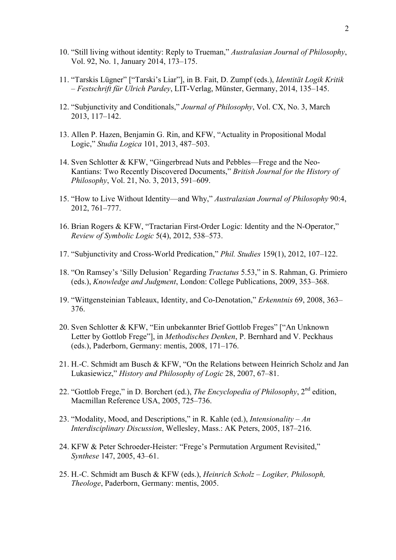- 10. "Still living without identity: Reply to Trueman," *Australasian Journal of Philosophy*, Vol. 92, No. 1, January 2014, 173–175.
- 11. "Tarskis Lügner" ["Tarski's Liar"], in B. Fait, D. Zumpf (eds.), *Identität Logik Kritik – Festschrift für Ulrich Pardey*, LIT-Verlag, Münster, Germany, 2014, 135–145.
- 12. "Subjunctivity and Conditionals," *Journal of Philosophy*, Vol. CX, No. 3, March 2013, 117–142.
- 13. Allen P. Hazen, Benjamin G. Rin, and KFW, "Actuality in Propositional Modal Logic," *Studia Logica* 101, 2013, 487–503.
- 14. Sven Schlotter & KFW, "Gingerbread Nuts and Pebbles—Frege and the Neo-Kantians: Two Recently Discovered Documents," *British Journal for the History of Philosophy*, Vol. 21, No. 3, 2013, 591–609.
- 15. "How to Live Without Identity—and Why," *Australasian Journal of Philosophy* 90:4, 2012, 761–777.
- 16. Brian Rogers & KFW, "Tractarian First-Order Logic: Identity and the N-Operator," *Review of Symbolic Logic* 5(4), 2012, 538–573.
- 17. "Subjunctivity and Cross-World Predication," *Phil. Studies* 159(1), 2012, 107–122.
- 18. "On Ramsey's 'Silly Delusion' Regarding *Tractatus* 5.53," in S. Rahman, G. Primiero (eds.), *Knowledge and Judgment*, London: College Publications, 2009, 353–368.
- 19. "Wittgensteinian Tableaux, Identity, and Co-Denotation," *Erkenntnis* 69, 2008, 363– 376.
- 20. Sven Schlotter & KFW, "Ein unbekannter Brief Gottlob Freges" ["An Unknown Letter by Gottlob Frege"], in *Methodisches Denken*, P. Bernhard and V. Peckhaus (eds.), Paderborn, Germany: mentis, 2008, 171–176.
- 21. H.-C. Schmidt am Busch & KFW, "On the Relations between Heinrich Scholz and Jan Lukasiewicz," *History and Philosophy of Logic* 28, 2007, 67–81.
- 22. "Gottlob Frege," in D. Borchert (ed.), *The Encyclopedia of Philosophy*, 2nd edition, Macmillan Reference USA, 2005, 725–736.
- 23. "Modality, Mood, and Descriptions," in R. Kahle (ed.), *Intensionality – An Interdisciplinary Discussion*, Wellesley, Mass.: AK Peters, 2005, 187–216.
- 24. KFW & Peter Schroeder-Heister: "Frege's Permutation Argument Revisited," *Synthese* 147, 2005, 43–61.
- 25. H.-C. Schmidt am Busch & KFW (eds.), *Heinrich Scholz – Logiker, Philosoph, Theologe*, Paderborn, Germany: mentis, 2005.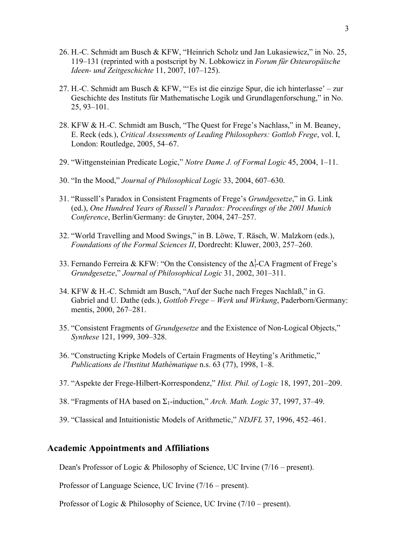- 26. H.-C. Schmidt am Busch & KFW, "Heinrich Scholz und Jan Lukasiewicz," in No. 25, 119–131 (reprinted with a postscript by N. Lobkowicz in *Forum für Osteuropäische Ideen- und Zeitgeschichte* 11, 2007, 107–125).
- 27. H.-C. Schmidt am Busch & KFW, "'Es ist die einzige Spur, die ich hinterlasse' zur Geschichte des Instituts für Mathematische Logik und Grundlagenforschung," in No. 25, 93–101.
- 28. KFW & H.-C. Schmidt am Busch, "The Quest for Frege's Nachlass," in M. Beaney, E. Reck (eds*.*), *Critical Assessments of Leading Philosophers: Gottlob Frege*, vol. I, London: Routledge, 2005, 54–67.
- 29. "Wittgensteinian Predicate Logic," *Notre Dame J. of Formal Logic* 45, 2004, 1–11.
- 30. "In the Mood," *Journal of Philosophical Logic* 33, 2004, 607–630.
- 31. "Russell's Paradox in Consistent Fragments of Frege's *Grundgesetze*," in G. Link (ed.), *One Hundred Years of Russell's Paradox: Proceedings of the 2001 Munich Conference*, Berlin/Germany: de Gruyter, 2004, 247–257.
- 32. "World Travelling and Mood Swings," in B. Löwe, T. Räsch, W. Malzkorn (eds.), *Foundations of the Formal Sciences II*, Dordrecht: Kluwer, 2003, 257–260.
- 33. Fernando Ferreira & KFW: "On the Consistency of the  $\Delta_1^1$ -CA Fragment of Frege's *Grundgesetze*," *Journal of Philosophical Logic* 31, 2002, 301–311.
- 34. KFW & H.-C. Schmidt am Busch, "Auf der Suche nach Freges Nachlaß," in G. Gabriel and U. Dathe (eds.), *Gottlob Frege – Werk und Wirkung*, Paderborn/Germany: mentis, 2000, 267–281.
- 35. "Consistent Fragments of *Grundgesetze* and the Existence of Non-Logical Objects," *Synthese* 121, 1999, 309–328.
- 36. "Constructing Kripke Models of Certain Fragments of Heyting's Arithmetic," *Publications de l'Institut Mathématique* n.s. 63 (77), 1998, 1–8.
- 37. "Aspekte der Frege-Hilbert-Korrespondenz," *Hist. Phil. of Logic* 18, 1997, 201–209.
- 38. "Fragments of HA based on Σ1-induction," *Arch. Math. Logic* 37, 1997, 37–49.
- 39. "Classical and Intuitionistic Models of Arithmetic," *NDJFL* 37, 1996, 452–461.

## **Academic Appointments and Affiliations**

Dean's Professor of Logic & Philosophy of Science, UC Irvine (7/16 – present).

Professor of Language Science, UC Irvine (7/16 – present).

Professor of Logic & Philosophy of Science, UC Irvine (7/10 – present).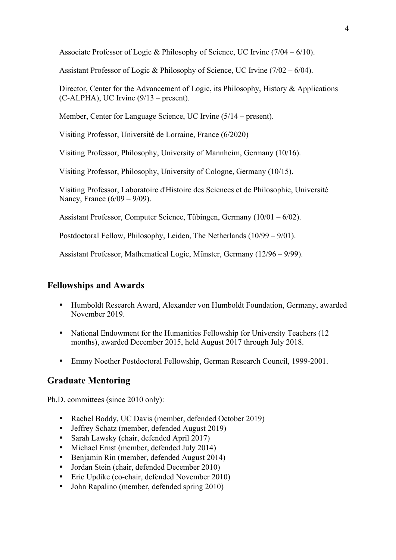Associate Professor of Logic & Philosophy of Science, UC Irvine  $(7/04 - 6/10)$ .

Assistant Professor of Logic & Philosophy of Science, UC Irvine (7/02 – 6/04).

Director, Center for the Advancement of Logic, its Philosophy, History & Applications (C-ALPHA), UC Irvine (9/13 – present).

Member, Center for Language Science, UC Irvine (5/14 – present).

Visiting Professor, Université de Lorraine, France (6/2020)

Visiting Professor, Philosophy, University of Mannheim, Germany (10/16).

Visiting Professor, Philosophy, University of Cologne, Germany (10/15).

Visiting Professor, Laboratoire d'Histoire des Sciences et de Philosophie, Université Nancy, France (6/09 – 9/09).

Assistant Professor, Computer Science, Tübingen, Germany (10/01 – 6/02).

Postdoctoral Fellow, Philosophy, Leiden, The Netherlands (10/99 – 9/01).

Assistant Professor, Mathematical Logic, Münster, Germany (12/96 – 9/99).

#### **Fellowships and Awards**

- Humboldt Research Award, Alexander von Humboldt Foundation, Germany, awarded November 2019.
- National Endowment for the Humanities Fellowship for University Teachers (12 months), awarded December 2015, held August 2017 through July 2018.
- Emmy Noether Postdoctoral Fellowship, German Research Council, 1999-2001.

### **Graduate Mentoring**

Ph.D. committees (since 2010 only):

- Rachel Boddy, UC Davis (member, defended October 2019)
- Jeffrey Schatz (member, defended August 2019)
- Sarah Lawsky (chair, defended April 2017)
- Michael Ernst (member, defended July 2014)
- Benjamin Rin (member, defended August 2014)
- Jordan Stein (chair, defended December 2010)
- Eric Updike (co-chair, defended November 2010)
- John Rapalino (member, defended spring 2010)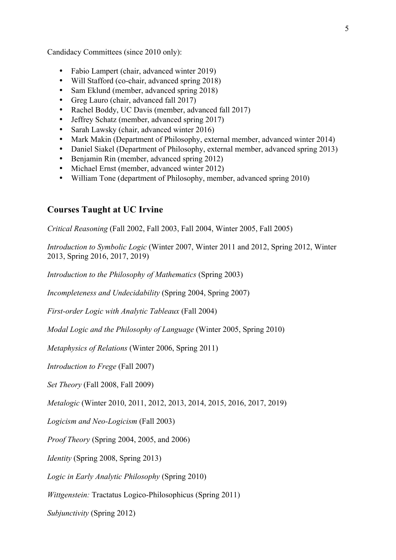Candidacy Committees (since 2010 only):

- Fabio Lampert (chair, advanced winter 2019)
- Will Stafford (co-chair, advanced spring 2018)
- Sam Eklund (member, advanced spring 2018)
- Greg Lauro (chair, advanced fall 2017)
- Rachel Boddy, UC Davis (member, advanced fall 2017)
- Jeffrey Schatz (member, advanced spring 2017)
- Sarah Lawsky (chair, advanced winter 2016)
- Mark Makin (Department of Philosophy, external member, advanced winter 2014)
- Daniel Siakel (Department of Philosophy, external member, advanced spring 2013)
- Benjamin Rin (member, advanced spring 2012)
- Michael Ernst (member, advanced winter 2012)
- William Tone (department of Philosophy, member, advanced spring 2010)

## **Courses Taught at UC Irvine**

*Critical Reasoning* (Fall 2002, Fall 2003, Fall 2004, Winter 2005, Fall 2005)

*Introduction to Symbolic Logic* (Winter 2007, Winter 2011 and 2012, Spring 2012, Winter 2013, Spring 2016, 2017, 2019)

*Introduction to the Philosophy of Mathematics* (Spring 2003)

*Incompleteness and Undecidability* (Spring 2004, Spring 2007)

*First-order Logic with Analytic Tableaux* (Fall 2004)

*Modal Logic and the Philosophy of Language* (Winter 2005, Spring 2010)

*Metaphysics of Relations* (Winter 2006, Spring 2011)

*Introduction to Frege* (Fall 2007)

*Set Theory* (Fall 2008, Fall 2009)

*Metalogic* (Winter 2010, 2011, 2012, 2013, 2014, 2015, 2016, 2017, 2019)

*Logicism and Neo-Logicism* (Fall 2003)

*Proof Theory* (Spring 2004, 2005, and 2006)

*Identity* (Spring 2008, Spring 2013)

*Logic in Early Analytic Philosophy* (Spring 2010)

*Wittgenstein:* Tractatus Logico-Philosophicus (Spring 2011)

*Subjunctivity* (Spring 2012)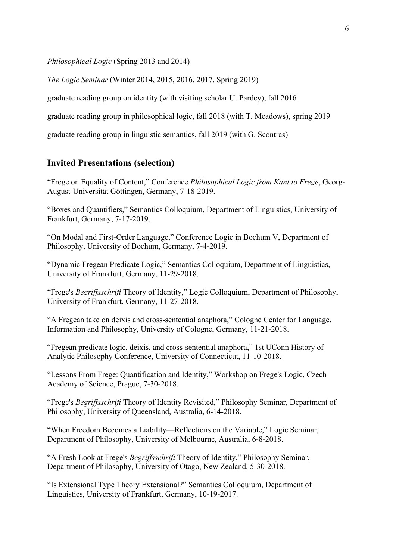*Philosophical Logic* (Spring 2013 and 2014)

*The Logic Seminar* (Winter 2014, 2015, 2016, 2017, Spring 2019)

graduate reading group on identity (with visiting scholar U. Pardey), fall 2016

graduate reading group in philosophical logic, fall 2018 (with T. Meadows), spring 2019

graduate reading group in linguistic semantics, fall 2019 (with G. Scontras)

## **Invited Presentations (selection)**

"Frege on Equality of Content," Conference *Philosophical Logic from Kant to Frege*, Georg-August-Universität Göttingen, Germany, 7-18-2019.

"Boxes and Quantifiers," Semantics Colloquium, Department of Linguistics, University of Frankfurt, Germany, 7-17-2019.

"On Modal and First-Order Language," Conference Logic in Bochum V, Department of Philosophy, University of Bochum, Germany, 7-4-2019.

"Dynamic Fregean Predicate Logic," Semantics Colloquium, Department of Linguistics, University of Frankfurt, Germany, 11-29-2018.

"Frege's *Begriffsschrift* Theory of Identity," Logic Colloquium, Department of Philosophy, University of Frankfurt, Germany, 11-27-2018.

"A Fregean take on deixis and cross-sentential anaphora," Cologne Center for Language, Information and Philosophy, University of Cologne, Germany, 11-21-2018.

"Fregean predicate logic, deixis, and cross-sentential anaphora," 1st UConn History of Analytic Philosophy Conference, University of Connecticut, 11-10-2018.

"Lessons From Frege: Quantification and Identity," Workshop on Frege's Logic, Czech Academy of Science, Prague, 7-30-2018.

"Frege's *Begriffsschrift* Theory of Identity Revisited," Philosophy Seminar, Department of Philosophy, University of Queensland, Australia, 6-14-2018.

"When Freedom Becomes a Liability—Reflections on the Variable," Logic Seminar, Department of Philosophy, University of Melbourne, Australia, 6-8-2018.

"A Fresh Look at Frege's *Begriffsschrift* Theory of Identity," Philosophy Seminar, Department of Philosophy, University of Otago, New Zealand, 5-30-2018.

"Is Extensional Type Theory Extensional?" Semantics Colloquium, Department of Linguistics, University of Frankfurt, Germany, 10-19-2017.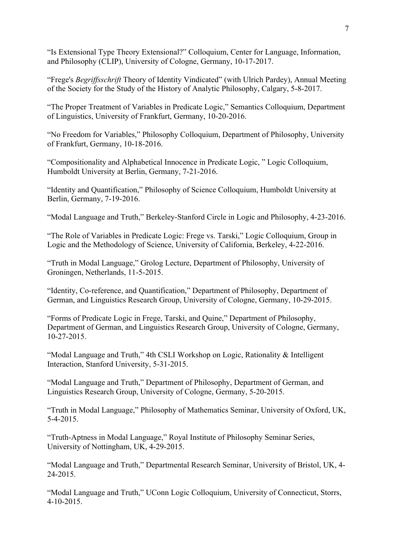"Is Extensional Type Theory Extensional?" Colloquium, Center for Language, Information, and Philosophy (CLIP), University of Cologne, Germany, 10-17-2017.

"Frege's *Begriffsschrift* Theory of Identity Vindicated" (with Ulrich Pardey), Annual Meeting of the Society for the Study of the History of Analytic Philosophy, Calgary, 5-8-2017.

"The Proper Treatment of Variables in Predicate Logic," Semantics Colloquium, Department of Linguistics, University of Frankfurt, Germany, 10-20-2016.

"No Freedom for Variables," Philosophy Colloquium, Department of Philosophy, University of Frankfurt, Germany, 10-18-2016.

"Compositionality and Alphabetical Innocence in Predicate Logic, " Logic Colloquium, Humboldt University at Berlin, Germany, 7-21-2016.

"Identity and Quantification," Philosophy of Science Colloquium, Humboldt University at Berlin, Germany, 7-19-2016.

"Modal Language and Truth," Berkeley-Stanford Circle in Logic and Philosophy, 4-23-2016.

"The Role of Variables in Predicate Logic: Frege vs. Tarski," Logic Colloquium, Group in Logic and the Methodology of Science, University of California, Berkeley, 4-22-2016.

"Truth in Modal Language," Grolog Lecture, Department of Philosophy, University of Groningen, Netherlands, 11-5-2015.

"Identity, Co-reference, and Quantification," Department of Philosophy, Department of German, and Linguistics Research Group, University of Cologne, Germany, 10-29-2015.

"Forms of Predicate Logic in Frege, Tarski, and Quine," Department of Philosophy, Department of German, and Linguistics Research Group, University of Cologne, Germany, 10-27-2015.

"Modal Language and Truth," 4th CSLI Workshop on Logic, Rationality & Intelligent Interaction, Stanford University, 5-31-2015.

"Modal Language and Truth," Department of Philosophy, Department of German, and Linguistics Research Group, University of Cologne, Germany, 5-20-2015.

"Truth in Modal Language," Philosophy of Mathematics Seminar, University of Oxford, UK, 5-4-2015.

"Truth-Aptness in Modal Language," Royal Institute of Philosophy Seminar Series, University of Nottingham, UK, 4-29-2015.

"Modal Language and Truth," Departmental Research Seminar, University of Bristol, UK, 4- 24-2015.

"Modal Language and Truth," UConn Logic Colloquium, University of Connecticut, Storrs, 4-10-2015.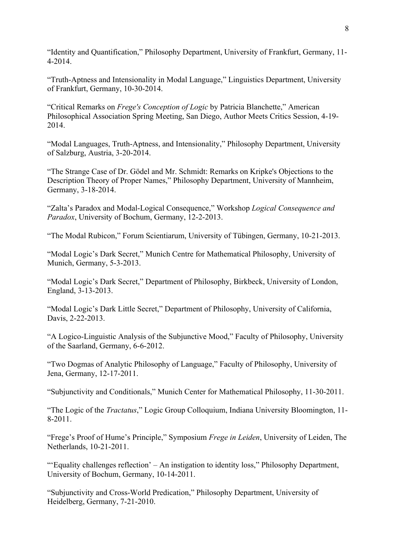"Identity and Quantification," Philosophy Department, University of Frankfurt, Germany, 11- 4-2014.

"Truth-Aptness and Intensionality in Modal Language," Linguistics Department, University of Frankfurt, Germany, 10-30-2014.

"Critical Remarks on *Frege's Conception of Logic* by Patricia Blanchette," American Philosophical Association Spring Meeting, San Diego, Author Meets Critics Session, 4-19- 2014.

"Modal Languages, Truth-Aptness, and Intensionality," Philosophy Department, University of Salzburg, Austria, 3-20-2014.

"The Strange Case of Dr. Gödel and Mr. Schmidt: Remarks on Kripke's Objections to the Description Theory of Proper Names," Philosophy Department, University of Mannheim, Germany, 3-18-2014.

"Zalta's Paradox and Modal-Logical Consequence," Workshop *Logical Consequence and Paradox*, University of Bochum, Germany, 12-2-2013.

"The Modal Rubicon," Forum Scientiarum, University of Tübingen, Germany, 10-21-2013.

"Modal Logic's Dark Secret," Munich Centre for Mathematical Philosophy, University of Munich, Germany, 5-3-2013.

"Modal Logic's Dark Secret," Department of Philosophy, Birkbeck, University of London, England, 3-13-2013.

"Modal Logic's Dark Little Secret," Department of Philosophy, University of California, Davis, 2-22-2013.

"A Logico-Linguistic Analysis of the Subjunctive Mood," Faculty of Philosophy, University of the Saarland, Germany, 6-6-2012.

"Two Dogmas of Analytic Philosophy of Language," Faculty of Philosophy, University of Jena, Germany, 12-17-2011.

"Subjunctivity and Conditionals," Munich Center for Mathematical Philosophy, 11-30-2011.

"The Logic of the *Tractatus*," Logic Group Colloquium, Indiana University Bloomington, 11- 8-2011.

"Frege's Proof of Hume's Principle," Symposium *Frege in Leiden*, University of Leiden, The Netherlands, 10-21-2011.

"'Equality challenges reflection' – An instigation to identity loss," Philosophy Department, University of Bochum, Germany, 10-14-2011.

"Subjunctivity and Cross-World Predication," Philosophy Department, University of Heidelberg, Germany, 7-21-2010.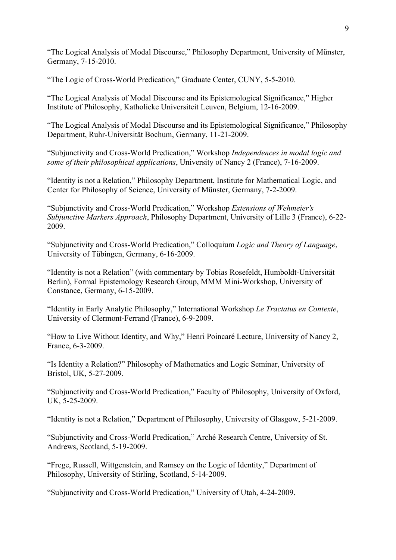"The Logical Analysis of Modal Discourse," Philosophy Department, University of Münster, Germany, 7-15-2010.

"The Logic of Cross-World Predication," Graduate Center, CUNY, 5-5-2010.

"The Logical Analysis of Modal Discourse and its Epistemological Significance," Higher Institute of Philosophy, Katholieke Universiteit Leuven, Belgium, 12-16-2009.

"The Logical Analysis of Modal Discourse and its Epistemological Significance," Philosophy Department, Ruhr-Universität Bochum, Germany, 11-21-2009.

"Subjunctivity and Cross-World Predication," Workshop *Independences in modal logic and some of their philosophical applications*, University of Nancy 2 (France), 7-16-2009.

"Identity is not a Relation," Philosophy Department, Institute for Mathematical Logic, and Center for Philosophy of Science, University of Münster, Germany, 7-2-2009.

"Subjunctivity and Cross-World Predication," Workshop *Extensions of Wehmeier's Subjunctive Markers Approach*, Philosophy Department, University of Lille 3 (France), 6-22- 2009.

"Subjunctivity and Cross-World Predication," Colloquium *Logic and Theory of Language*, University of Tübingen, Germany, 6-16-2009.

"Identity is not a Relation" (with commentary by Tobias Rosefeldt, Humboldt-Universität Berlin), Formal Epistemology Research Group, MMM Mini-Workshop, University of Constance, Germany, 6-15-2009.

"Identity in Early Analytic Philosophy," International Workshop *Le Tractatus en Contexte*, University of Clermont-Ferrand (France), 6-9-2009.

"How to Live Without Identity, and Why," Henri Poincaré Lecture, University of Nancy 2, France, 6-3-2009.

"Is Identity a Relation?" Philosophy of Mathematics and Logic Seminar, University of Bristol, UK, 5-27-2009.

"Subjunctivity and Cross-World Predication," Faculty of Philosophy, University of Oxford, UK, 5-25-2009.

"Identity is not a Relation," Department of Philosophy, University of Glasgow, 5-21-2009.

"Subjunctivity and Cross-World Predication," Arché Research Centre, University of St. Andrews, Scotland, 5-19-2009.

"Frege, Russell, Wittgenstein, and Ramsey on the Logic of Identity," Department of Philosophy, University of Stirling, Scotland, 5-14-2009.

"Subjunctivity and Cross-World Predication," University of Utah, 4-24-2009.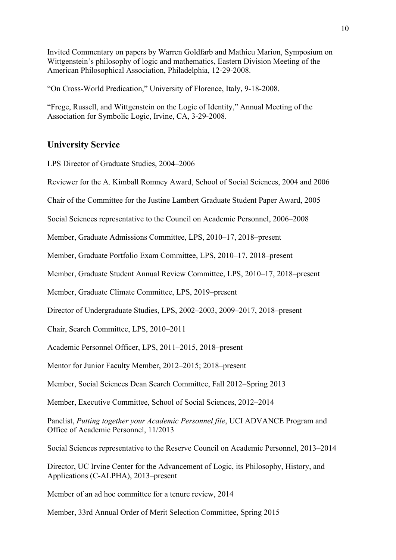Invited Commentary on papers by Warren Goldfarb and Mathieu Marion, Symposium on Wittgenstein's philosophy of logic and mathematics, Eastern Division Meeting of the American Philosophical Association, Philadelphia, 12-29-2008.

"On Cross-World Predication," University of Florence, Italy, 9-18-2008.

"Frege, Russell, and Wittgenstein on the Logic of Identity," Annual Meeting of the Association for Symbolic Logic, Irvine, CA, 3-29-2008.

# **University Service**

LPS Director of Graduate Studies, 2004–2006

Reviewer for the A. Kimball Romney Award, School of Social Sciences, 2004 and 2006

Chair of the Committee for the Justine Lambert Graduate Student Paper Award, 2005

Social Sciences representative to the Council on Academic Personnel, 2006–2008

Member, Graduate Admissions Committee, LPS, 2010–17, 2018–present

Member, Graduate Portfolio Exam Committee, LPS, 2010–17, 2018–present

Member, Graduate Student Annual Review Committee, LPS, 2010–17, 2018–present

Member, Graduate Climate Committee, LPS, 2019–present

Director of Undergraduate Studies, LPS, 2002–2003, 2009–2017, 2018–present

Chair, Search Committee, LPS, 2010–2011

Academic Personnel Officer, LPS, 2011–2015, 2018–present

Mentor for Junior Faculty Member, 2012–2015; 2018–present

Member, Social Sciences Dean Search Committee, Fall 2012–Spring 2013

Member, Executive Committee, School of Social Sciences, 2012–2014

Panelist, *Putting together your Academic Personnel file*, UCI ADVANCE Program and Office of Academic Personnel, 11/2013

Social Sciences representative to the Reserve Council on Academic Personnel, 2013–2014

Director, UC Irvine Center for the Advancement of Logic, its Philosophy, History, and Applications (C-ALPHA), 2013–present

Member of an ad hoc committee for a tenure review, 2014

Member, 33rd Annual Order of Merit Selection Committee, Spring 2015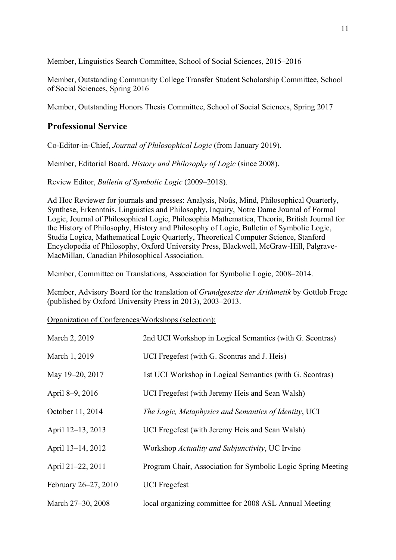Member, Linguistics Search Committee, School of Social Sciences, 2015–2016

Member, Outstanding Community College Transfer Student Scholarship Committee, School of Social Sciences, Spring 2016

Member, Outstanding Honors Thesis Committee, School of Social Sciences, Spring 2017

## **Professional Service**

Co-Editor-in-Chief, *Journal of Philosophical Logic* (from January 2019).

Member, Editorial Board, *History and Philosophy of Logic* (since 2008).

Review Editor, *Bulletin of Symbolic Logic* (2009–2018).

Ad Hoc Reviewer for journals and presses: Analysis, Noûs, Mind, Philosophical Quarterly, Synthese, Erkenntnis, Linguistics and Philosophy, Inquiry, Notre Dame Journal of Formal Logic, Journal of Philosophical Logic, Philosophia Mathematica, Theoria, British Journal for the History of Philosophy, History and Philosophy of Logic, Bulletin of Symbolic Logic, Studia Logica, Mathematical Logic Quarterly, Theoretical Computer Science, Stanford Encyclopedia of Philosophy, Oxford University Press, Blackwell, McGraw-Hill, Palgrave-MacMillan, Canadian Philosophical Association.

Member, Committee on Translations, Association for Symbolic Logic, 2008–2014.

Member, Advisory Board for the translation of *Grundgesetze der Arithmetik* by Gottlob Frege (published by Oxford University Press in 2013), 2003–2013.

Organization of Conferences/Workshops (selection):

| March 2, 2019        | 2nd UCI Workshop in Logical Semantics (with G. Scontras)     |
|----------------------|--------------------------------------------------------------|
| March 1, 2019        | UCI Fregefest (with G. Scontras and J. Heis)                 |
| May 19-20, 2017      | 1st UCI Workshop in Logical Semantics (with G. Scontras)     |
| April 8-9, 2016      | UCI Fregefest (with Jeremy Heis and Sean Walsh)              |
| October 11, 2014     | The Logic, Metaphysics and Semantics of Identity, UCI        |
| April 12-13, 2013    | UCI Fregefest (with Jeremy Heis and Sean Walsh)              |
| April 13-14, 2012    | Workshop Actuality and Subjunctivity, UC Irvine              |
| April 21-22, 2011    | Program Chair, Association for Symbolic Logic Spring Meeting |
| February 26–27, 2010 | <b>UCI</b> Fregefest                                         |
| March 27-30, 2008    | local organizing committee for 2008 ASL Annual Meeting       |